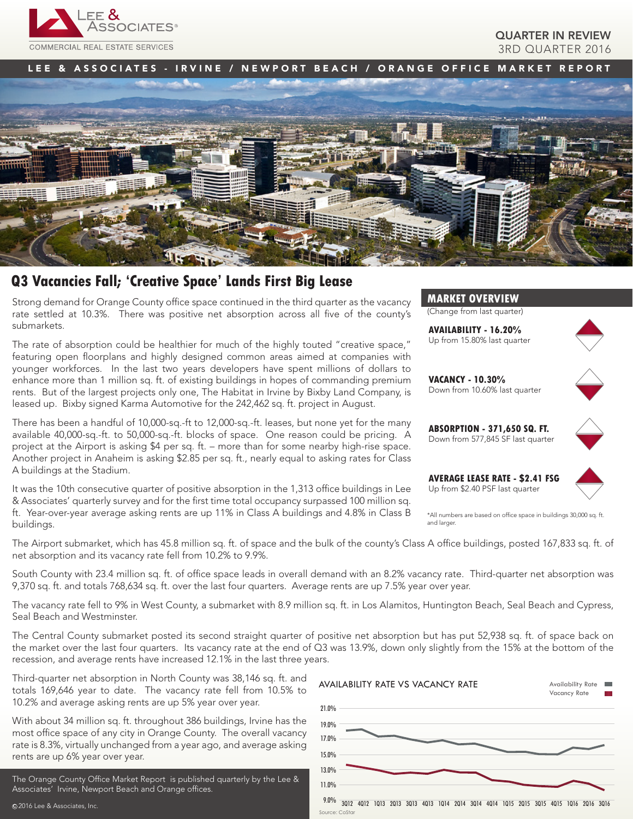

## QUARTER IN REVIEW 3RD QUARTER 2016

LEE & ASSOCIATES - IRVINE / NEWPORT BEACH / ORANGE OFFICE MARKET REPORT



# **Q3 Vacancies Fall; 'Creative Space' Lands First Big Lease**

Strong demand for Orange County office space continued in the third quarter as the vacancy rate settled at 10.3%. There was positive net absorption across all five of the county's submarkets.

The rate of absorption could be healthier for much of the highly touted "creative space," featuring open floorplans and highly designed common areas aimed at companies with younger workforces. In the last two years developers have spent millions of dollars to enhance more than 1 million sq. ft. of existing buildings in hopes of commanding premium rents. But of the largest projects only one, The Habitat in Irvine by Bixby Land Company, is leased up. Bixby signed Karma Automotive for the 242,462 sq. ft. project in August.

There has been a handful of 10,000-sq.-ft to 12,000-sq.-ft. leases, but none yet for the many available 40,000-sq.-ft. to 50,000-sq.-ft. blocks of space. One reason could be pricing. A project at the Airport is asking \$4 per sq. ft. – more than for some nearby high-rise space. Another project in Anaheim is asking \$2.85 per sq. ft., nearly equal to asking rates for Class A buildings at the Stadium.

It was the 10th consecutive quarter of positive absorption in the 1,313 office buildings in Lee & Associates' quarterly survey and for the first time total occupancy surpassed 100 million sq. ft. Year-over-year average asking rents are up 11% in Class A buildings and 4.8% in Class B buildings.



(Change from last quarter)

**AVAILABILITY - 16.20%** Up from 15.80% last quarter



**VACANCY - 10.30%** Down from 10.60% last quarter



**ABSORPTION - 371,650 SQ. FT.** Down from 577,845 SF last quarter



\*All numbers are based on office space in buildings 30,000 sq. ft. and larger

The Airport submarket, which has 45.8 million sq. ft. of space and the bulk of the county's Class A office buildings, posted 167,833 sq. ft. of net absorption and its vacancy rate fell from 10.2% to 9.9%.

South County with 23.4 million sq. ft. of office space leads in overall demand with an 8.2% vacancy rate. Third-quarter net absorption was 9,370 sq. ft. and totals 768,634 sq. ft. over the last four quarters. Average rents are up 7.5% year over year.

The vacancy rate fell to 9% in West County, a submarket with 8.9 million sq. ft. in Los Alamitos, Huntington Beach, Seal Beach and Cypress, Seal Beach and Westminster.

The Central County submarket posted its second straight quarter of positive net absorption but has put 52,938 sq. ft. of space back on the market over the last four quarters. Its vacancy rate at the end of Q3 was 13.9%, down only slightly from the 15% at the bottom of the recession, and average rents have increased 12.1% in the last three years.

Third-quarter net absorption in North County was 38,146 sq. ft. and totals 169,646 year to date. The vacancy rate fell from 10.5% to 10.2% and average asking rents are up 5% year over year.

With about 34 million sq. ft. throughout 386 buildings, Irvine has the most office space of any city in Orange County. The overall vacancy rate is 8.3%, virtually unchanged from a year ago, and average asking rents are up 6% year over year.

The Orange County Office Market Report is published quarterly by the Lee & Associates' Irvine, Newport Beach and Orange offices.

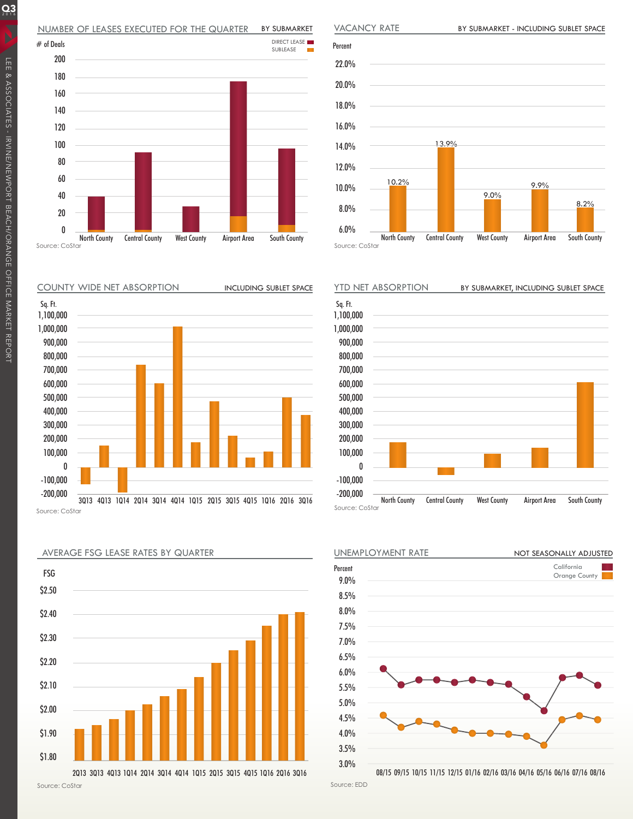#### NUMBER OF LEASES EXECUTED FOR THE QUARTER BY SUBMARKET







Source: CoStar



AVERAGE FSG LEASE RATES BY QUARTER

VACANCY RATE

Source: CoStar



UNEMPLOYMENT RATE California Orange County Percent 9.0% 8.5% 8.0% 7.5% 7.0% 6.5% 6.0% 5.5% 5.0% 4.5% 4.0% 3.5% 3.0% NOT SEASONALLY ADJUSTED

Source: EDD

 $Q_3$ 

Percent 22.0% 20.0% 18.0% 16.0% 14.0% 12.0% 10.0% 8.0% 6.0% North County Central County West County Airport Area South County 10.2% 9.0% 13.9% 8.2% 9.9%

<sup>08/15</sup> 09/15 10/15 11/15 12/15 01/16 02/16 03/16 04/16 05/16 06/16 07/16 08/16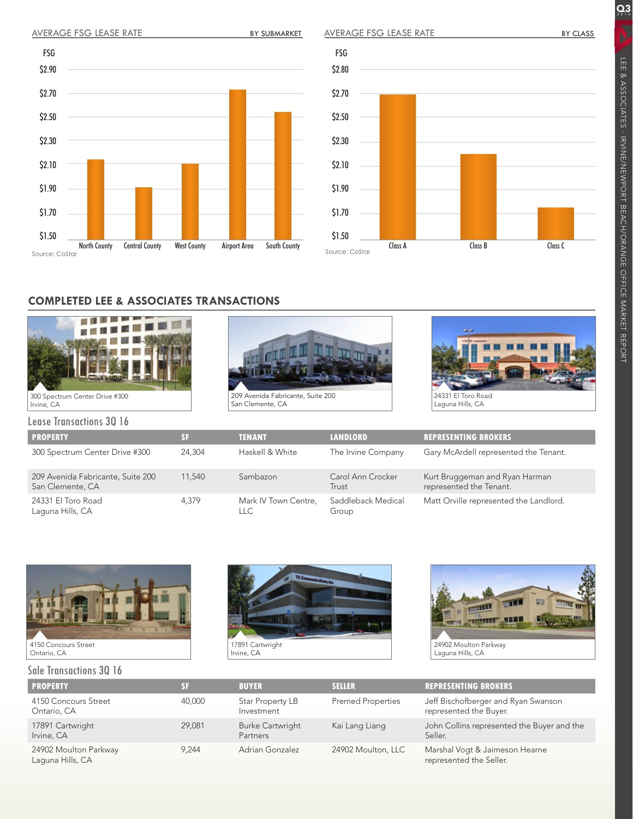## AVERAGE FSG LEASE RATE BY SUBMARKET

\$2.90

FSG

\$2.70

\$2.50

\$2.30

\$2.10

\$1.90

\$1.70

\$1.50

Source: CoStar

AVERAGE FSG LEASE RATE



# **COMPLETED LEE & ASSOCIATES TRANSACTIONS**

North County Central County West County Airport Area South County





Source: CoStar

\$2.80

FSG

\$2.70

\$2.50

\$2.30

\$2.10

\$1.90

\$1.70

\$1.50

24331 El Toro Road Laguna Hills, CA

Lease Transactions 3Q 16

| LUUJU IIUIIJULIIUIIJUU IU                             |        |                              |                             |                                                           |  |  |  |  |
|-------------------------------------------------------|--------|------------------------------|-----------------------------|-----------------------------------------------------------|--|--|--|--|
| <b>PROPERTY</b>                                       |        | <b>TENANT</b>                | <b>LANDLORD</b>             | <b>REPRESENTING BROKERS</b>                               |  |  |  |  |
| 300 Spectrum Center Drive #300                        | 24,304 | Haskell & White              | The Irvine Company          | Gary McArdell represented the Tenant.                     |  |  |  |  |
| 209 Avenida Fabricante, Suite 200<br>San Clemente, CA | 11,540 | Sambazon                     | Carol Ann Crocker<br>Trust  | Kurt Bruggeman and Ryan Harman<br>represented the Tenant. |  |  |  |  |
| 24331 El Toro Road<br>Laguna Hills, CA                | 4.379  | Mark IV Town Centre,<br>LLC. | Saddleback Medical<br>Group | Matt Orville represented the Landlord.                    |  |  |  |  |



#### Sale Transactions 3Q 16





Laguna Hills, CA

| <b>PROPERTY</b>                           | SF.    | <b>BUYER</b>                        | <b>SELLER</b>            | <b>REPRESENTING BROKERS</b>                                   |
|-------------------------------------------|--------|-------------------------------------|--------------------------|---------------------------------------------------------------|
| 4150 Concours Street<br>Ontario, CA       | 40,000 | Star Property LB<br>Investment      | <b>Premed Properties</b> | Jeff Bischofberger and Ryan Swanson<br>represented the Buyer. |
| 17891 Cartwright<br>Irvine, CA            | 29,081 | <b>Burke Cartwright</b><br>Partners | Kai Lang Liang           | John Collins represented the Buyer and the<br>Seller.         |
| 24902 Moulton Parkway<br>Laguna Hills, CA | 9.244  | Adrian Gonzalez                     | 24902 Moulton, LLC       | Marshal Vogt & Jaimeson Hearne<br>represented the Seller.     |

 $Q_3$ 

LEE & ASSOCIATES - IRVINE/NEWPORT BEACH/ORANGE OFFICE MARKET REPORT

LEE & ASSOCIATES - IRVINE/NEWPORT BEACH/ORANGE OFFICE MARKET REPORT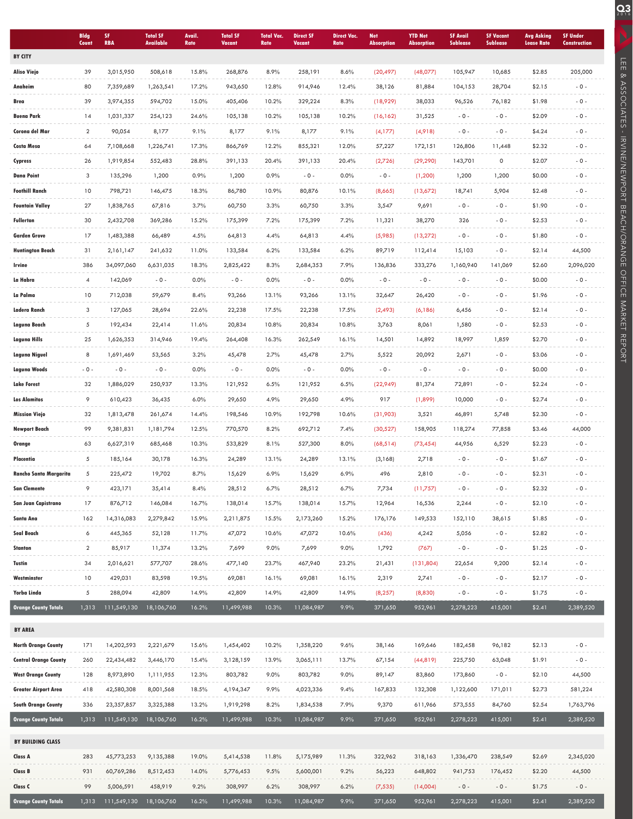|                               | <b>Bldg</b><br>Count | SF.<br><b>RBA</b> | <b>Total SF</b><br><b>Available</b> | <b>Avail</b><br>Rate | <b>Total SF</b><br>Vacant | <b>Total Vac.</b><br>Rate | <b>Direct SF</b><br>Vacant | <b>Direct Vac.</b><br>Rate | <b>Net</b><br><b>Absorption</b> | <b>YTD Net</b><br><b>Absorption</b> | <b>SF Avail</b><br><b>Sublease</b> | <b>SF Vacant</b><br><b>Sublease</b> | <b>Avg Asking</b><br><b>Lease Rate</b> | <b>SF Under</b><br><b>Construction</b> |
|-------------------------------|----------------------|-------------------|-------------------------------------|----------------------|---------------------------|---------------------------|----------------------------|----------------------------|---------------------------------|-------------------------------------|------------------------------------|-------------------------------------|----------------------------------------|----------------------------------------|
| <b>BY CITY</b>                |                      |                   |                                     |                      |                           |                           |                            |                            |                                 |                                     |                                    |                                     |                                        |                                        |
| Aliso Viejo                   | 39                   | 3,015,950         | 508,618                             | 15.8%                | 268,876                   | 8.9%                      | 258,191                    | 8.6%                       | (20, 497)                       | (48,077)                            | 105,947                            | 10,685                              | \$2.85                                 | 205,000                                |
| Anaheim                       | 80                   | 7,359,689         | 1,263,541                           | 17.2%                | 943,650                   | 12.8%                     | 914,946                    | 12.4%                      | 38,126                          | 81,884                              | 104,153                            | 28,704                              | \$2.15                                 | $-0 -$                                 |
| Brea                          | 39                   | 3,974,355         | 594,702                             | 15.0%                | 405,406                   | 10.2%                     | 329,224                    | 8.3%                       | (18,929)                        | 38,033                              | 96,526                             | 76,182                              | \$1.98                                 | $-0 -$                                 |
| <b>Buena Park</b>             | 14                   | 1,031,337         | 254,123                             | 24.6%                | 105,138                   | 10.2%                     | 105,138                    | 10.2%                      | (16, 162)                       | 31,525                              | $-0-$                              | $-0 -$                              | \$2.09                                 | $-0 -$                                 |
| Corona del Mar                | $\overline{2}$       | 90,054            | 8,177                               | 9.1%                 | 8,177                     | 9.1%                      | 8,177                      | 9.1%                       | (4,177)                         | (4,918)                             | $-0-$                              | $-0 -$                              | \$4.24                                 | $-0 -$                                 |
| Costa Mesa                    | 64                   | 7,108,668         | 1,226,741                           | 17.3%                | 866,769                   | 12.2%                     | 855,321                    | 12.0%                      | 57,227                          | 172,151                             | 126,806                            | 11,448                              | \$2.32                                 | $-0 -$                                 |
| Cypress                       | 26                   | 1,919,854         | 552,483                             | 28.8%                | 391,133                   | 20.4%                     | 391,133                    | 20.4%                      | (2,726)                         | (29, 290)                           | 143,701                            | 0                                   | \$2.07                                 | $-0 -$                                 |
| <b>Dana Point</b>             | 3                    | 135,296           | 1,200                               | 0.9%                 | 1,200                     | 0.9%                      | $-0-$                      | 0.0%                       | $-0-$                           | (1, 200)                            | 1,200                              | 1,200                               | \$0.00                                 | $-0 -$                                 |
| <b>Foothill Ranch</b>         | 10                   | 798,721           | 146,475                             | 18.3%                | 86,780                    | 10.9%                     | 80,876                     | 10.1%                      | (8,665)                         | (13,672)                            | 18,741                             | 5,904                               | \$2.48                                 | $-0-$                                  |
| <b>Fountain Valley</b>        | 27                   | 1,838,765         | 67,816                              | 3.7%                 | 60,750                    | 3.3%                      | 60,750                     | 3.3%                       | 3,547                           | 9,691                               | $-0-$                              | $-0 -$                              | \$1.90                                 | $-0 -$                                 |
| Fullerton                     | 30                   | 2,432,708         | 369,286                             | 15.2%                | 175,399                   | 7.2%                      | 175,399                    | 7.2%                       | 11,321                          | 38,270                              | 326                                | $-0 -$                              | \$2.53                                 | $-0 -$                                 |
| <b>Garden Grove</b>           | 17                   | 1,483,388         | 66,489                              | 4.5%                 | 64,813                    | 4.4%                      | 64,813                     | 4.4%                       | (5,985)                         | (13, 272)                           | $-0-$                              | $-0 -$                              | \$1.80                                 | $-0 -$                                 |
| <b>Huntington Beach</b>       | 31                   | 2,161,147         | 241,632                             | 11.0%                | 133,584                   | 6.2%                      | 133,584                    | 6.2%                       | 89,719                          | 112,414                             | 15,103                             | $-0 -$                              | \$2.14                                 | 44,500                                 |
| Irvine                        | 386                  | 34,097,060        | 6,631,035                           | 18.3%                | 2,825,422                 | 8.3%                      | 2,684,353                  | 7.9%                       | 136,836                         | 333,276                             | 1,160,940                          | 141,069                             | \$2.60                                 | 2,096,020                              |
| La Habra                      | $\overline{4}$       | 142,069           | $-0 -$                              | 0.0%                 | $-0 -$                    | 0.0%                      | $-0 -$                     | 0.0%                       | $-0-$                           | $-0 -$                              | $-0-$                              | $-0 -$                              | \$0.00                                 | $-0 -$                                 |
| La Palma                      | 10                   | 712,038           | 59,679                              | 8.4%                 | 93,266                    | 13.1%                     | 93,266                     | 13.1%                      | 32,647                          | 26,420                              | $-0-$                              | $-0 -$                              | \$1.96                                 | $-0 -$                                 |
| Ladera Ranch                  | 3                    | 127,065           | 28,694                              | 22.6%                | 22,238                    | 17.5%                     | 22,238                     | 17.5%                      | (2, 493)                        | (6,186)                             | 6,456                              | $-0 -$                              | \$2.14                                 | $-0 -$                                 |
| Laguna Beach                  | 5                    | 192,434           | 22,414                              | 11.6%                | 20,834                    | 10.8%                     | 20,834                     | 10.8%                      | 3,763                           | 8,061                               | 1,580                              | $-0 -$                              | \$2.53                                 | $-0 -$                                 |
| Laguna Hills                  | 25                   | 1,626,353         | 314,946                             | 19.4%                | 264,408                   | 16.3%                     | 262,549                    | 16.1%                      | 14,501                          | 14,892                              | 18,997                             | 1,859                               | \$2.70                                 | $-0 -$                                 |
| Laguna Niguel                 | 8                    | 1,691,469         | 53,565                              | 3.2%                 | 45,478                    | 2.7%                      | 45,478                     | 2.7%                       | 5,522                           | 20,092                              | 2,671                              | $-0 -$                              | \$3.06                                 | $-0 -$                                 |
| Laguna Woods                  | $-0 -$               | $-0 -$            | $-0 -$                              | 0.0%                 | $-0 -$                    | 0.0%                      | $-0 -$                     | 0.0%                       | $-0 -$                          | $-0 -$                              | $-0-$                              | $-0 -$                              | \$0.00                                 | $-0-$                                  |
| <b>Lake Forest</b>            | 32                   | 1,886,029         | 250,937                             | 13.3%                | 121,952                   | 6.5%                      | 121,952                    | 6.5%                       | (22,949)                        | 81,374                              | 72,891                             | $-0 -$                              | \$2.24                                 | $-0 -$                                 |
| <b>Los Alamitos</b>           | 9                    | 610,423           | 36,435                              | 6.0%                 | 29,650                    | 4.9%                      | 29,650                     | 4.9%                       | 917                             | (1,899)                             | 10,000                             | $-0 -$                              | \$2.74                                 | $-0 -$                                 |
| <b>Mission Viejo</b>          | 32                   | 1,813,478         | 261,674                             | 14.4%                | 198,546                   | 10.9%                     | 192,798                    | 10.6%                      | (31,903)                        | 3,521                               | 46,891                             | 5,748                               | \$2.30                                 | $-0-$                                  |
| <b>Newport Beach</b>          | 99                   | 9,381,831         | 1,181,794                           | 12.5%                | 770,570                   | 8.2%                      | 692,712                    | 7.4%                       | (30,527)                        | 158,905                             | 118,274                            | 77,858                              | \$3.46                                 | 44,000                                 |
| Orange                        | 63                   | 6,627,319         | 685,468                             | 10.3%                | 533,829                   | 8.1%                      | 527,300                    | 8.0%                       | (68, 514)                       | (73, 454)                           | 44,956                             | 6,529                               | \$2.23                                 | $-0 -$                                 |
| Placentia                     | 5                    | 185,164           | 30,178                              | 16.3%                | 24,289                    | 13.1%                     | 24,289                     | 13.1%                      | (3,168)                         | 2,718                               | $-0-$                              | $-0 -$                              | \$1.67                                 | $-0 -$                                 |
| <b>Rancho Santa Margarita</b> | 5                    | 225,472           | 19,702                              | 8.7%                 | 15,629                    | 6.9%                      | 15,629                     | 6.9%                       | 496                             | 2,810                               | $-0-$                              | $-0 -$                              | \$2.31                                 | $-0 -$                                 |
| <b>San Clemente</b>           | 9                    | 423,171           | 35,414                              | 8.4%                 | 28,512                    | 6.7%                      | 28,512                     | 6.7%                       | 7,734                           | (11,757)                            | $-0-$                              | $-0 -$                              | \$2.32                                 | $-0 -$                                 |
| San Juan Capistrano           | 17                   | 876,712           | 146,084                             | 16.7%                | 138,014                   | 15.7%                     | 138,014                    | 15.7%                      | 12,964                          | 16,536                              | 2,244                              | $-0 -$                              | \$2.10                                 | $-0 -$                                 |
| Santa Ana                     | 162                  | 14,316,083        | 2,279,842                           | 15.9%                | 2,211,875                 | 15.5%                     | 2,173,260                  | 15.2%                      | 176,176                         | 149,533                             | 152,110                            | 38,615                              | \$1.85                                 | $-0 -$                                 |
| Seal Beach                    | 6                    | 445,365           | 52,128                              | 11.7%                | 47,072                    | 10.6%                     | 47,072                     | 10.6%                      | (436)                           | 4,242                               | 5,056                              | $-0 -$                              | \$2.82                                 | $-0-$                                  |
| <b>Stanton</b>                | $\overline{2}$       | 85,917            | 11,374                              | 13.2%                | 7,699                     | 9.0%                      | 7,699                      | 9.0%                       | 1,792                           | (767)                               | $-0-$                              | $-0 -$                              | \$1.25                                 | $-0 -$                                 |
| Tustin                        | 34                   | 2,016,621         | 577,707                             | 28.6%                | 477,140                   | 23.7%                     | 467,940                    | 23.2%                      | 21,431                          | (131, 804)                          | 22,654                             | 9,200                               | \$2.14                                 | $-0 -$                                 |
| Westminster                   | 10                   | 429,031           | 83,598                              | 19.5%                | 69,081                    | 16.1%                     | 69,081                     | 16.1%                      | 2,319                           | 2,741                               | $-0-$                              | $-0 -$                              | \$2.17                                 | $-0 -$                                 |
| Yorba Linda                   | 5                    | 288,094           | 42,809                              | 14.9%                | 42,809                    | 14.9%                     | 42,809                     | 14.9%                      | (8, 257)                        | (8,830)                             | $-0-$                              | $-0-$                               | \$1.75                                 | $-0 -$                                 |
| <b>Orange County Totals</b>   | 1,313                | 111,549,130       | 18,106,760                          | 16.2%                | 11,499,988                | 10.3%                     | 11,084,987                 | 9.9%                       | 371,650                         | 952,961                             | 2,278,223                          | 415,001                             | \$2.41                                 | 2,389,520                              |
| <b>BY AREA</b>                |                      |                   |                                     |                      |                           |                           |                            |                            |                                 |                                     |                                    |                                     |                                        |                                        |
| <b>North Orange County</b>    | 171                  | 14,202,593        | 2,221,679                           | 15.6%                | 1,454,402                 | 10.2%                     | 1,358,220                  | 9.6%                       | 38,146                          | 169,646                             | 182,458                            | 96,182                              | \$2.13                                 | $\sim 0$ -                             |
| <b>Central Orange County</b>  | 260                  | 22,434,482        | 3,446,170                           | 15.4%                | 3,128,159                 | 13.9%                     | 3,065,111                  | 13.7%                      | 67,154                          | (44, 819)                           | 225,750                            | 63,048                              | \$1.91                                 | $-0 -$                                 |
| <b>West Orange County</b>     | 128                  | 8,973,890         | 1,111,955                           | 12.3%                | 803,782                   | 9.0%                      | 803,782                    | 9.0%                       | 89,147                          | 83,860                              | 173,860                            | $-0 -$                              | \$2.10                                 | 44,500                                 |
| <b>Greater Airport Area</b>   | 418                  | 42,580,308        | 8,001,568                           | 18.5%                | 4,194,347                 | 9.9%                      | 4,023,336                  | 9.4%                       | 167,833                         | 132,308                             | 1,122,600                          | 171,011                             | \$2.73                                 | 581,224                                |
| <b>South Orange County</b>    | 336                  | 23,357,857        | 3,325,388                           | 13.2%                | 1,919,298                 | 8.2%                      | 1,834,538                  | 7.9%                       | 9,370                           | 611,966                             | 573,555                            | 84,760                              | \$2.54                                 | 1,763,796                              |
| <b>Orange County Totals</b>   | 1,313                | 111,549,130       | 18,106,760                          | 16.2%                | 11,499,988                | 10.3%                     | 11,084,987                 | 9.9%                       | 371,650                         | 952,961                             | 2,278,223                          | 415,001                             | \$2.41                                 | 2,389,520                              |
|                               |                      |                   |                                     |                      |                           |                           |                            |                            |                                 |                                     |                                    |                                     |                                        |                                        |
| <b>BY BUILDING CLASS</b>      |                      |                   |                                     |                      |                           |                           |                            |                            |                                 |                                     |                                    |                                     |                                        |                                        |
| Class A                       | 283                  | 45,773,253        | 9,135,388                           | 19.0%                | 5,414,538                 | 11.8%                     | 5,175,989                  | 11.3%                      | 322,962                         | 318,163                             | 1,336,470                          | 238,549                             | \$2.69                                 | 2,345,020                              |
| <b>Class B</b>                | 931                  | 60,769,286        | 8,512,453                           | 14.0%                | 5,776,453                 | 9.5%                      | 5,600,001                  | 9.2%                       | 56,223                          | 648,802                             | 941,753                            | 176,452                             | \$2.20                                 | 44,500                                 |
| Class C                       | 99                   | 5,006,591         | 458,919                             | 9.2%                 | 308,997                   | 6.2%                      | 308,997                    | 6.2%                       | (7, 535)                        | (14,004)                            | $-0-$                              | $-0 -$                              | \$1.75                                 | $-0 -$                                 |
| <b>Orange County Totals</b>   | 1,313                | 111,549,130       | 18,106,760                          | 16.2%                | 11,499,988                | 10.3%                     | 11,084,987                 | 9.9%                       | 371,650                         | 952,961                             | 2,278,223                          | 415,001                             | \$2.41                                 | 2,389,520                              |